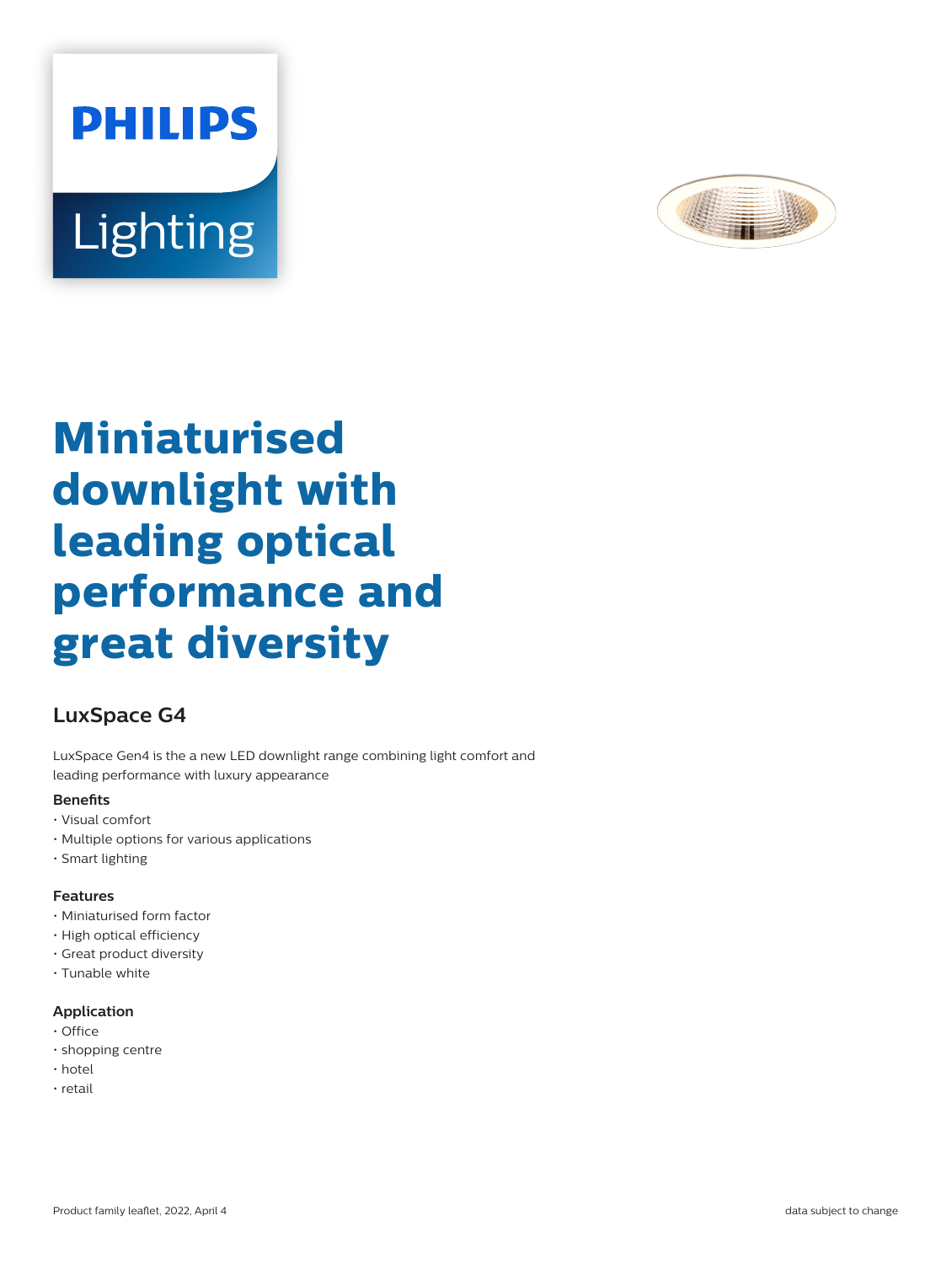



# **Miniaturised downlight with leading optical performance and great diversity**

# **LuxSpace G4**

LuxSpace Gen4 is the a new LED downlight range combining light comfort and leading performance with luxury appearance

### **Benefits**

- Visual comfort
- Multiple options for various applications
- Smart lighting

### **Features**

- Miniaturised form factor
- High optical efficiency
- Great product diversity
- Tunable white

### **Application**

- Office
- shopping centre
- hotel
- retail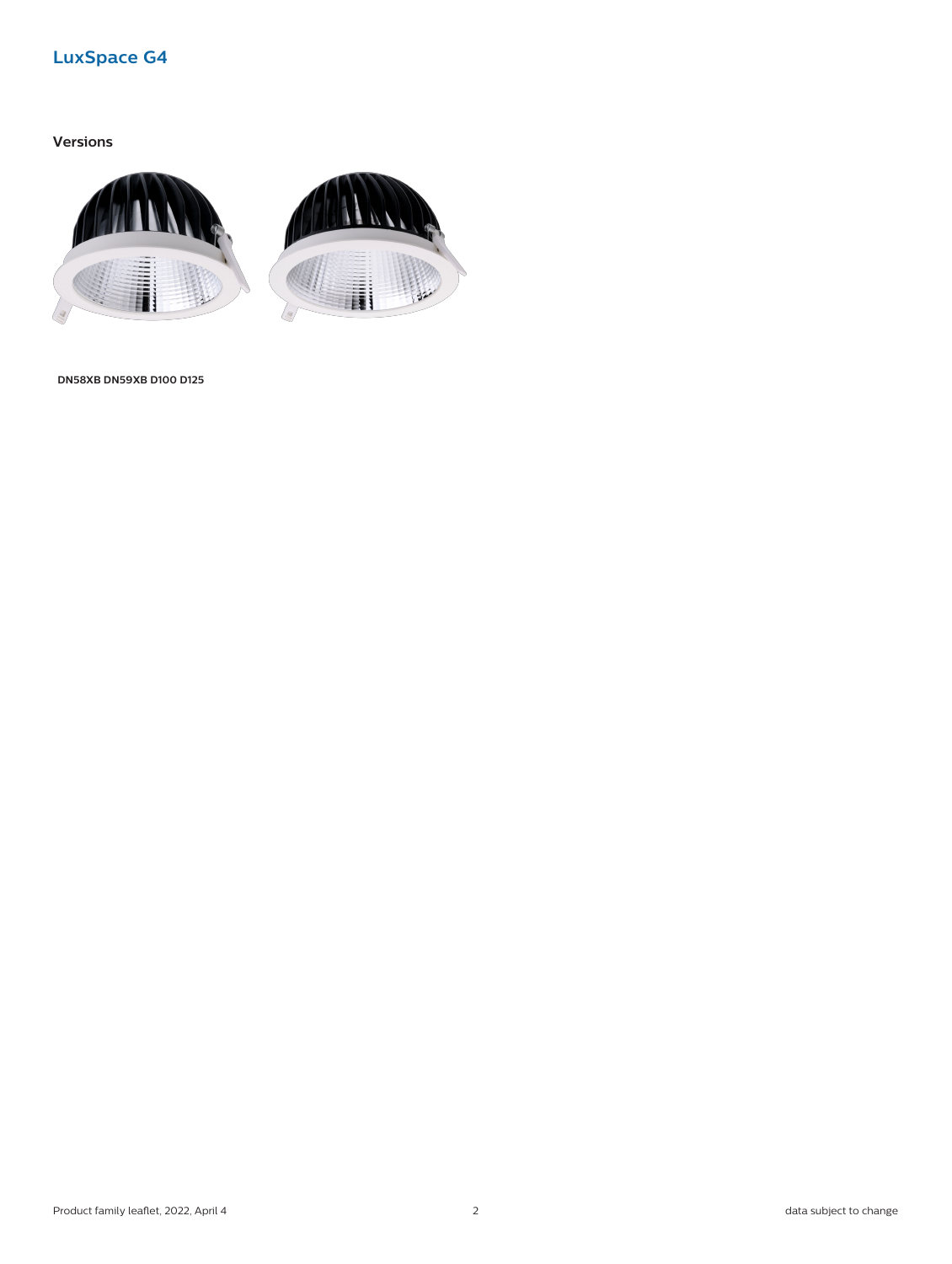# **LuxSpace G4**

## **Versions**



**DN58XB DN59XB D100 D125**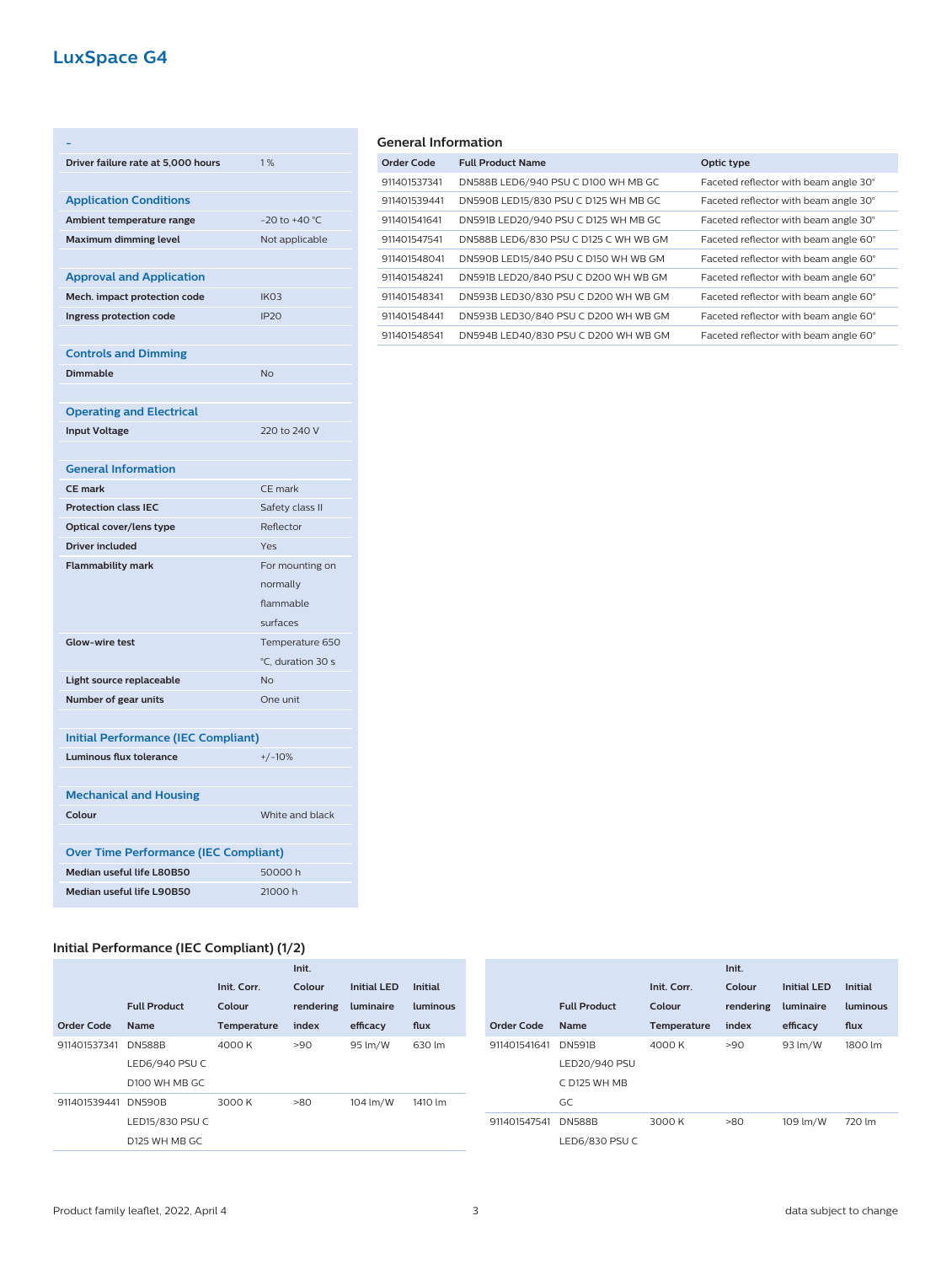# **LuxSpace G4**

| Driver failure rate at 5,000 hours         | 1%                |
|--------------------------------------------|-------------------|
|                                            |                   |
| <b>Application Conditions</b>              |                   |
| Ambient temperature range                  | $-20$ to $+40$ °C |
| <b>Maximum dimming level</b>               | Not applicable    |
|                                            |                   |
| <b>Approval and Application</b>            |                   |
| Mech. impact protection code               | IK <sub>O</sub> 3 |
| Ingress protection code                    | <b>IP20</b>       |
|                                            |                   |
| <b>Controls and Dimming</b>                |                   |
| <b>Dimmable</b>                            | <b>No</b>         |
|                                            |                   |
| <b>Operating and Electrical</b>            |                   |
| <b>Input Voltage</b>                       | 220 to 240 V      |
|                                            |                   |
| <b>General Information</b>                 |                   |
| <b>CE mark</b>                             | CE mark           |
|                                            |                   |
| <b>Protection class IEC</b>                | Safety class II   |
| Optical cover/lens type                    | Reflector         |
| <b>Driver included</b>                     | Yes               |
| <b>Flammability mark</b>                   | For mounting on   |
|                                            | normally          |
|                                            | flammable         |
|                                            | surfaces          |
| <b>Glow-wire test</b>                      | Temperature 650   |
|                                            | °C, duration 30 s |
| Light source replaceable                   | <b>No</b>         |
| Number of gear units                       | One unit          |
|                                            |                   |
| <b>Initial Performance (IEC Compliant)</b> |                   |
| Luminous flux tolerance                    | $+/-10%$          |
|                                            |                   |
| <b>Mechanical and Housing</b>              |                   |
| Colour                                     | White and black   |
|                                            |                   |

## **General Information**

| Order Code   | <b>Full Product Name</b>              | Optic type                            |
|--------------|---------------------------------------|---------------------------------------|
| 911401537341 | DN588B LED6/940 PSU C D100 WH MB GC   | Faceted reflector with beam angle 30° |
| 911401539441 | DN590B LED15/830 PSU C D125 WH MB GC  | Faceted reflector with beam angle 30° |
| 911401541641 | DN591B LED20/940 PSU C D125 WH MB GC  | Faceted reflector with beam angle 30° |
| 911401547541 | DN588B LED6/830 PSU C D125 C WH WB GM | Faceted reflector with beam angle 60° |
| 911401548041 | DN590B LED15/840 PSU C D150 WH WB GM  | Faceted reflector with beam angle 60° |
| 911401548241 | DN591B LED20/840 PSU C D200 WH WB GM  | Faceted reflector with beam angle 60° |
| 911401548341 | DN593B LED30/830 PSU C D200 WH WB GM  | Faceted reflector with beam angle 60° |
| 911401548441 | DN593B LED30/840 PSU C D200 WH WB GM  | Faceted reflector with beam angle 60° |
| 911401548541 | DN594B LED40/830 PSU C D200 WH WB GM  | Faceted reflector with beam angle 60° |
|              |                                       |                                       |

## **Initial Performance (IEC Compliant) (1/2)**

**Median useful life L80B50** 50000 h **Median useful life L90B50** 21000 h

|                   |                     |             | Init.     |                    |                |                   |                     |             | Init.     |                    |                |
|-------------------|---------------------|-------------|-----------|--------------------|----------------|-------------------|---------------------|-------------|-----------|--------------------|----------------|
|                   |                     | Init. Corr. | Colour    | <b>Initial LED</b> | <b>Initial</b> |                   |                     | Init. Corr. | Colour    | <b>Initial LED</b> | <b>Initial</b> |
|                   | <b>Full Product</b> | Colour      | rendering | luminaire          | luminous       |                   | <b>Full Product</b> | Colour      | rendering | luminaire          | luminous       |
| <b>Order Code</b> | <b>Name</b>         | Temperature | index     | efficacy           | flux           | <b>Order Code</b> | <b>Name</b>         | Temperature | index     | efficacy           | flux           |
| 911401537341      | <b>DN588B</b>       | 4000 K      | >90       | 95 lm/W            | 630 lm         | 911401541641      | <b>DN591B</b>       | 4000 K      | >90       | 93 lm/W            | 1800 lm        |
|                   | LED6/940 PSU C      |             |           |                    |                |                   | LED20/940 PSU       |             |           |                    |                |
|                   | D100 WH MB GC       |             |           |                    |                |                   | C D125 WH MB        |             |           |                    |                |
| 911401539441      | <b>DN590B</b>       | 3000 K      | >80       | 104 lm/W           | 1410 lm        |                   | GC                  |             |           |                    |                |
|                   | LED15/830 PSU C     |             |           |                    |                | 911401547541      | <b>DN588B</b>       | 3000 K      | >80       | 109 lm/W           | 720 lm         |
|                   | D125 WH MB GC       |             |           |                    |                |                   | LED6/830 PSU C      |             |           |                    |                |
|                   |                     |             |           |                    |                |                   |                     |             |           |                    |                |